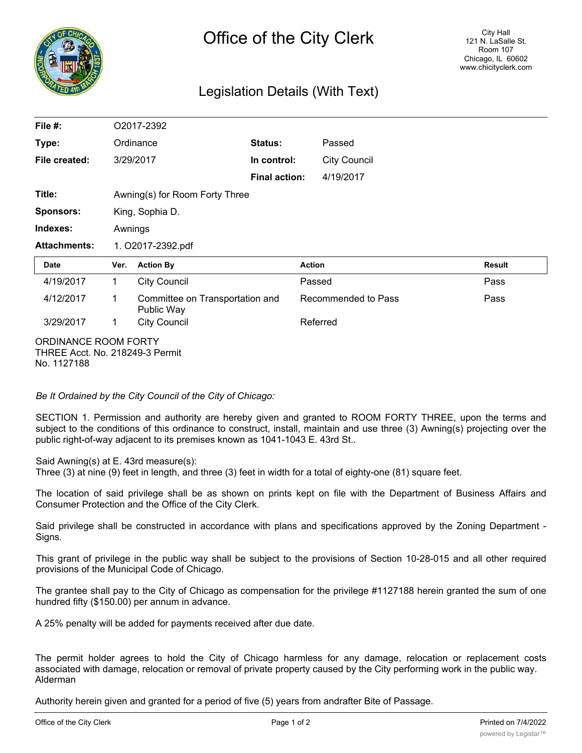

## Legislation Details (With Text)

| File $#$ :          | O2017-2392                     |                                               |                      |                     |                     |               |
|---------------------|--------------------------------|-----------------------------------------------|----------------------|---------------------|---------------------|---------------|
| Type:               | Ordinance                      |                                               | <b>Status:</b>       | Passed              |                     |               |
| File created:       |                                | 3/29/2017                                     | In control:          |                     | <b>City Council</b> |               |
|                     |                                |                                               | <b>Final action:</b> |                     | 4/19/2017           |               |
| Title:              | Awning(s) for Room Forty Three |                                               |                      |                     |                     |               |
| <b>Sponsors:</b>    | King, Sophia D.                |                                               |                      |                     |                     |               |
| Indexes:            | Awnings                        |                                               |                      |                     |                     |               |
| <b>Attachments:</b> | 1. O2017-2392.pdf              |                                               |                      |                     |                     |               |
| Date                | Ver.                           | <b>Action By</b>                              |                      | <b>Action</b>       |                     | <b>Result</b> |
| 4/19/2017           | 1                              | <b>City Council</b>                           |                      | Passed              |                     | Pass          |
| 4/12/2017           | 1                              | Committee on Transportation and<br>Public Way |                      | Recommended to Pass |                     | Pass          |
| 3/29/2017           | 1                              | <b>City Council</b>                           |                      | Referred            |                     |               |

ORDINANCE ROOM FORTY THREE Acct. No. 218249-3 Permit No. 1127188

*Be It Ordained by the City Council of the City of Chicago:*

SECTION 1. Permission and authority are hereby given and granted to ROOM FORTY THREE, upon the terms and subject to the conditions of this ordinance to construct, install, maintain and use three (3) Awning(s) projecting over the public right-of-way adjacent to its premises known as 1041-1043 E. 43rd St..

Said Awning(s) at E. 43rd measure(s):

Three (3) at nine (9) feet in length, and three (3) feet in width for a total of eighty-one (81) square feet.

The location of said privilege shall be as shown on prints kept on file with the Department of Business Affairs and Consumer Protection and the Office of the City Clerk.

Said privilege shall be constructed in accordance with plans and specifications approved by the Zoning Department - Signs.

This grant of privilege in the public way shall be subject to the provisions of Section 10-28-015 and all other required provisions of the Municipal Code of Chicago.

The grantee shall pay to the City of Chicago as compensation for the privilege #1127188 herein granted the sum of one hundred fifty (\$150.00) per annum in advance.

A 25% penalty will be added for payments received after due date.

The permit holder agrees to hold the City of Chicago harmless for any damage, relocation or replacement costs associated with damage, relocation or removal of private property caused by the City performing work in the public way. Alderman

Authority herein given and granted for a period of five (5) years from andrafter Bite of Passage.